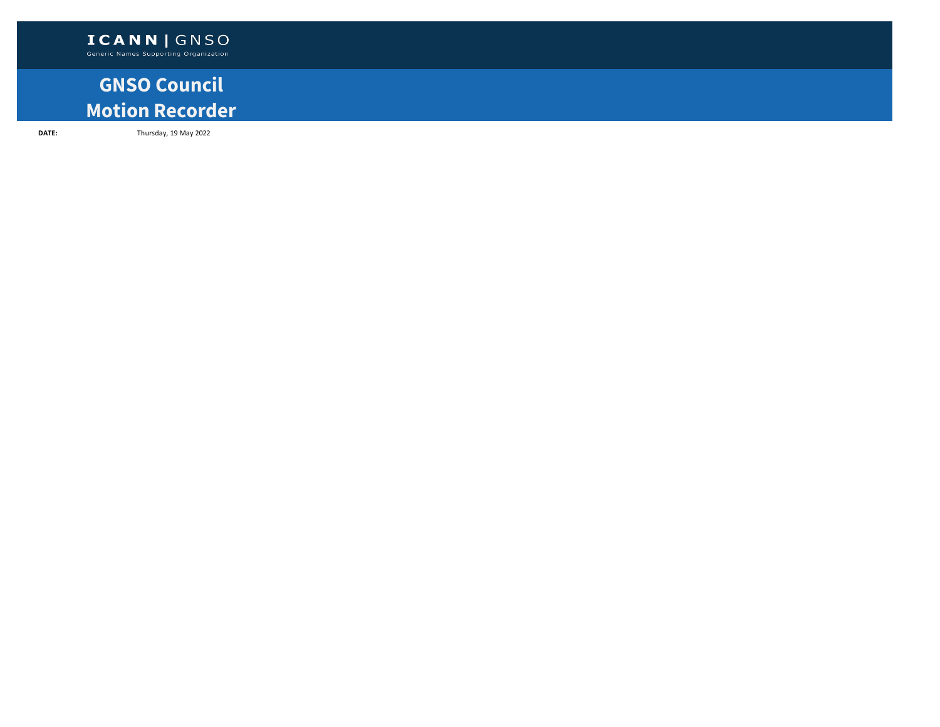## **GNSO Council Motion Recorder**

**DATE:** Thursday, 19 May 2022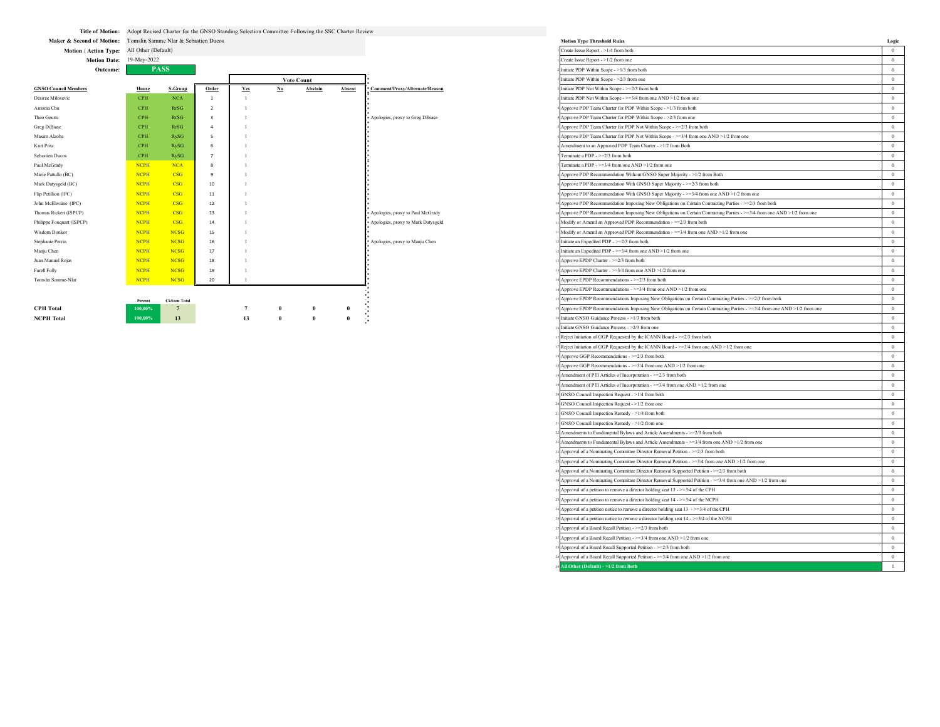|  | Title of Motion: Adopt Revised Charter for the GNSO Standing Selection Committee Following the SSC Charter Review |
|--|-------------------------------------------------------------------------------------------------------------------|
|--|-------------------------------------------------------------------------------------------------------------------|

|                             | vacome |             | <b>AILUS</b>            |       |            |    |                   |        |                                    | .aw 1 DI -w anni 30000 - - 1/3 110111 00111                                                                            |  |
|-----------------------------|--------|-------------|-------------------------|-------|------------|----|-------------------|--------|------------------------------------|------------------------------------------------------------------------------------------------------------------------|--|
|                             |        |             |                         |       |            |    | <b>Vote Count</b> |        |                                    | Initiate PDP Within Scope - >2/3 from one                                                                              |  |
| <b>GNSO Council Members</b> |        | House       | S-Group                 | Order | <b>Yes</b> | No | Abstain           | Absent | Comment/Proxy/Alternate/Reason     | Initiate PDP Not Within Scope - >=2/3 from both                                                                        |  |
| Desiree Milosevic           |        | <b>CPH</b>  | <b>NCA</b>              |       |            |    |                   |        |                                    | Initiate PDP Not Within Scope - $\geq$ =3/4 from one AND >1/2 from one                                                 |  |
| Antonia Chu                 |        | <b>CPH</b>  | RrSG                    |       |            |    |                   |        |                                    | Approve PDP Team Charter for PDP Within Scope - >1/3 from both                                                         |  |
| Theo Geurts                 |        | <b>CPH</b>  | RrSG                    |       |            |    |                   |        | Apologies, proxy to Greg Dibiase   | Approve PDP Team Charter for PDP Within Scope - > 2/3 from one                                                         |  |
| Greg DiBiase                |        | <b>CPH</b>  | RrSG                    |       |            |    |                   |        |                                    | Approve PDP Team Charter for PDP Not Within Scope - >=2/3 from both                                                    |  |
| Maxim Alzoba                |        | <b>CPH</b>  | RySG                    |       |            |    |                   |        |                                    | Approve PDP Team Charter for PDP Not Within Scope - >=3/4 from one AND >1/2 from one                                   |  |
| Kurt Pritz                  |        | <b>CPH</b>  | RySG                    |       |            |    |                   |        |                                    | Amendment to an Approved PDP Team Charter - >1/2 from Both                                                             |  |
| Sebastien Ducos             |        | <b>CPH</b>  | RySG                    |       |            |    |                   |        |                                    | Terminate a PDP - $>=$ 2/3 from both                                                                                   |  |
| Paul McGrady                |        | <b>NCPH</b> | <b>NCA</b>              |       |            |    |                   |        |                                    | Terminate a PDP - $>=$ 3/4 from one AND $>1/2$ from one                                                                |  |
| Marie Pattullo (BC)         |        | <b>NCPH</b> | CSG                     |       |            |    |                   |        |                                    | Approve PDP Recommendation Without GNSO Super Majority - >1/2 from Both                                                |  |
| Mark Datysgeld (BC)         |        | <b>NCPH</b> | $\overline{\text{CSG}}$ | 10    |            |    |                   |        |                                    | Approve PDP Recommendation With GNSO Super Majority - >=2/3 from both                                                  |  |
| Flip Petillion (IPC)        |        | <b>NCPH</b> | CSG                     | 11    |            |    |                   |        |                                    | Approve PDP Recommendation With GNSO Super Majority - >=3/4 from one AND >1/2 from one                                 |  |
| John McElwaine (IPC)        |        | <b>NCPH</b> | $\overline{\text{CSG}}$ | 12    |            |    |                   |        |                                    | Approve PDP Recommendation Imposing New Obligations on Certain Contracting Parties - >=2/3 from both                   |  |
| Thomas Rickert (ISPCP)      |        | <b>NCPH</b> | CSG                     | 13    |            |    |                   |        | Apologies, proxy to Paul McGrady   | Approve PDP Recommendation Imposing New Obligations on Certain Contracting Parties - >=3/4 from one AND >1/2 from one  |  |
| Philippe Fouquart (ISPCP)   |        | <b>NCPH</b> | CSG                     | 14    |            |    |                   |        | Apologies, proxy to Mark Datysgeld | Modify or Amend an Approved PDP Recommendation - >=2/3 from both                                                       |  |
| Wisdom Donkor               |        | <b>NCPH</b> | <b>NCSG</b>             | 15    |            |    |                   |        |                                    | Modify or Amend an Approved PDP Recommendation - >=3/4 from one AND >1/2 from one                                      |  |
| Stephanie Perrin            |        | <b>NCPH</b> | <b>NCSG</b>             | 16    |            |    |                   |        | Apologies, proxy to Manju Chen     | 2 Initiate an Expedited PDP - >=2/3 from both                                                                          |  |
| Manju Chen                  |        | <b>NCPH</b> | <b>NCSG</b>             | 17    |            |    |                   |        |                                    | 2 Initiate an Expedited PDP - >=3/4 from one AND >1/2 from one                                                         |  |
| Juan Manuel Rojas           |        | <b>NCPH</b> | <b>NCSG</b>             | 18    |            |    |                   |        |                                    | 3 Approve EPDP Charter - >=2/3 from both                                                                               |  |
| Farell Folly                |        | <b>NCPH</b> | <b>NCSG</b>             | 19    |            |    |                   |        |                                    | 3 Approve EPDP Charter - >=3/4 from one AND >1/2 from one                                                              |  |
| Tomslin Samme-Nlar          |        | <b>NCPH</b> | <b>NCSG</b>             | 20    |            |    |                   |        |                                    | 4 Approve EPDP Recommendations - >=2/3 from both                                                                       |  |
|                             |        |             |                         |       |            |    |                   |        |                                    | 4 Approve EPDP Recommendations - >=3/4 from one AND >1/2 from one                                                      |  |
|                             |        | Percent     | <b>CkSum Total</b>      |       |            |    |                   |        |                                    | Approve EPDP Recommendations Imposing New Obligations on Certain Contracting Parties - >=2/3 from both                 |  |
| <b>CPH</b> Total            |        | 100,00%     |                         |       |            |    |                   |        |                                    | Approve EPDP Recommendations Imposing New Obligations on Certain Contracting Parties ->=3/4 from one AND >1/2 from one |  |
| <b>NCPH</b> Total           |        | 100,00%     | 13                      |       | 13         |    |                   |        |                                    | Initiate GNSO Guidance Process - >1/3 from both                                                                        |  |

| Maker & Second of Motion: Tomslin Samme Nlar & Sebastien Ducos |                    |                                       |                         |                 |                |                   |              |                                    | <b>Motion Type Threshold Rules</b>                                                                                      | Logic          |
|----------------------------------------------------------------|--------------------|---------------------------------------|-------------------------|-----------------|----------------|-------------------|--------------|------------------------------------|-------------------------------------------------------------------------------------------------------------------------|----------------|
| Motion / Action Type: All Other (Default)                      |                    |                                       |                         |                 |                |                   |              |                                    | Create Issue Report - >1/4 from both                                                                                    | $\overline{0}$ |
| Motion Date: 19-May-2022                                       |                    |                                       |                         |                 |                |                   |              |                                    | Create Issue Report - >1/2 from one                                                                                     | $\overline{0}$ |
| Outcome:                                                       |                    | <b>PASS</b>                           |                         |                 |                |                   |              |                                    | Initiate PDP Within Scope - >1/3 from both                                                                              | $\overline{0}$ |
|                                                                |                    |                                       |                         |                 |                | <b>Vote Count</b> |              |                                    | Initiate PDP Within Scope - >2/3 from one                                                                               | $\overline{0}$ |
| <b>GNSO Council Members</b>                                    | House              | S-Group                               | Order                   | <b>Yes</b>      | $\mathbf{N}$ o | Abstain           | Absent       | Comment/Proxy/Alternate/Reason     | Initiate PDP Not Within Scope - >=2/3 from both                                                                         | $\overline{0}$ |
| Desiree Milosevic                                              | <b>CPH</b>         | $_{\mathrm{NCA}}$                     | $\mathbf{1}$            |                 |                |                   |              |                                    | Initiate PDP Not Within Scope - >=3/4 from one AND >1/2 from one                                                        | $\overline{0}$ |
| Antonia Chu                                                    | CPH                | RrSG                                  | $\overline{2}$          |                 |                |                   |              |                                    | Approve PDP Team Charter for PDP Within Scope - >1/3 from both                                                          | $\overline{0}$ |
| Theo Geurts                                                    | CPH                | RrSG                                  | $\overline{\mathbf{3}}$ |                 |                |                   |              | Apologies, proxy to Greg Dibiase   | Approve PDP Team Charter for PDP Within Scope - >2/3 from one                                                           | $\overline{0}$ |
| Greg DiBiase                                                   | CPH                | RrSG                                  | $\sqrt{4}$              |                 |                |                   |              |                                    | Approve PDP Team Charter for PDP Not Within Scope - >=2/3 from both                                                     | $\overline{0}$ |
| Maxim Alzoba                                                   | <b>CPH</b>         | <b>RySG</b>                           | 5                       |                 |                |                   |              |                                    | Approve PDP Team Charter for PDP Not Within Scope - >=3/4 from one AND >1/2 from one                                    | $\overline{0}$ |
| Kurt Pritz                                                     | <b>CPH</b>         | RySG                                  | 6                       |                 |                |                   |              |                                    | Amendment to an Approved PDP Team Charter - >1/2 from Both                                                              | $\overline{0}$ |
| <b>Sebastien Ducos</b>                                         | CPH                | <b>RySG</b>                           |                         |                 |                |                   |              |                                    | Terminate a PDP - >=2/3 from both                                                                                       | $\overline{0}$ |
| Paul McGrady                                                   | <b>NCPH</b>        | <b>NCA</b>                            | $\boldsymbol{8}$        |                 |                |                   |              |                                    | Terminate a PDP - $\geq$ =3/4 from one AND $\geq$ 1/2 from one                                                          | $\overline{0}$ |
| Marie Pattullo (BC)                                            | <b>NCPH</b>        | CSG                                   | 9                       |                 |                |                   |              |                                    | Approve PDP Recommendation Without GNSO Super Majority - >1/2 from Both                                                 | $\overline{0}$ |
| Mark Datysgeld (BC)                                            | <b>NCPH</b>        | CSG                                   | 10                      |                 |                |                   |              |                                    | Approve PDP Recommendation With GNSO Super Majority - >=2/3 from both                                                   | $\overline{0}$ |
| Flip Petillion (IPC)                                           | <b>NCPH</b>        | CSG                                   | $11\,$                  |                 |                |                   |              |                                    | Approve PDP Recommendation With GNSO Super Majority - >=3/4 from one AND >1/2 from one                                  | $\overline{0}$ |
| John McElwaine (IPC)                                           | <b>NCPH</b>        | CSG                                   | 12                      |                 |                |                   |              |                                    | Approve PDP Recommendation Imposing New Obligations on Certain Contracting Parties - >=2/3 from both                    | $\overline{0}$ |
| Thomas Rickert (ISPCP)                                         | <b>NCPH</b>        | CSG                                   | 13                      |                 |                |                   |              | Apologies, proxy to Paul McGrady   | Approve PDP Recommendation Imposing New Obligations on Certain Contracting Parties - >=3/4 from one AND >1/2 from one   | $\overline{0}$ |
| Philippe Fouquart (ISPCP)                                      | <b>NCPH</b>        | CSG                                   | 14                      |                 |                |                   |              | Apologies, proxy to Mark Datysgeld | Modify or Amend an Approved PDP Recommendation - >=2/3 from both                                                        | $\overline{0}$ |
| Wisdom Donkor                                                  | <b>NCPH</b>        | <b>NCSG</b>                           | 15                      |                 |                |                   |              |                                    | Modify or Amend an Approved PDP Recommendation - >=3/4 from one AND >1/2 from one                                       | $\overline{0}$ |
| Stephanie Perrin                                               | <b>NCPH</b>        | <b>NCSG</b>                           | 16                      |                 |                |                   |              | Apologies, proxy to Manju Chen     | Initiate an Expedited PDP - >=2/3 from both                                                                             | $\overline{0}$ |
| Manju Chen                                                     | <b>NCPH</b>        | <b>NCSG</b>                           | 17                      |                 |                |                   |              |                                    | Initiate an Expedited PDP - >=3/4 from one AND >1/2 from one                                                            | $\overline{0}$ |
| Juan Manuel Rojas                                              | <b>NCPH</b>        | <b>NCSG</b>                           | 18                      |                 |                |                   |              |                                    | Approve EPDP Charter - >=2/3 from both                                                                                  | $\overline{0}$ |
| Farell Folly                                                   | <b>NCPH</b>        | <b>NCSG</b>                           | 19                      |                 |                |                   |              |                                    | Approve EPDP Charter - >=3/4 from one AND >1/2 from one                                                                 | $\overline{0}$ |
| Tomslin Samme-Nlar                                             | <b>NCPH</b>        | <b>NCSG</b>                           | 20                      |                 |                |                   |              |                                    | Approve EPDP Recommendations - >=2/3 from both                                                                          | $\overline{0}$ |
|                                                                |                    |                                       |                         |                 |                |                   |              |                                    | Approve EPDP Recommendations - >=3/4 from one AND >1/2 from one                                                         | $\overline{0}$ |
|                                                                |                    |                                       |                         |                 |                |                   |              |                                    | Approve EPDP Recommendations Imposing New Obligations on Certain Contracting Parties - >=2/3 from both                  | $\Omega$       |
| <b>CPH Total</b>                                               | Percent<br>100,00% | <b>CkSum Total</b><br>$7\phantom{.0}$ |                         | $7\phantom{.0}$ |                | $\pmb{0}$         | $\pmb{0}$    |                                    | Approve EPDP Recommendations Imposing New Obligations on Certain Contracting Parties - >=3/4 from one AND >1/2 from one | $\overline{0}$ |
| <b>NCPH Total</b>                                              | 100,00%            | 13                                    |                         | 13              |                | $\mathbf{0}$      | $\mathbf{0}$ |                                    | Initiate GNSO Guidance Process - >1/3 from both                                                                         | $\overline{0}$ |
|                                                                |                    |                                       |                         |                 |                |                   |              |                                    | Initiate GNSO Guidance Process - >2/3 from one                                                                          | $\overline{0}$ |
|                                                                |                    |                                       |                         |                 |                |                   |              |                                    | Reject Initiation of GGP Requested by the ICANN Board - >=2/3 from both                                                 | $\overline{0}$ |
|                                                                |                    |                                       |                         |                 |                |                   |              |                                    | Reject Initiation of GGP Requested by the ICANN Board - >=3/4 from one AND >1/2 from one                                | $\overline{0}$ |
|                                                                |                    |                                       |                         |                 |                |                   |              |                                    | Approve GGP Recommendations - >=2/3 from both                                                                           | $\overline{0}$ |
|                                                                |                    |                                       |                         |                 |                |                   |              |                                    | Approve GGP Recommendations - >=3/4 from one AND >1/2 from one                                                          | $\overline{0}$ |
|                                                                |                    |                                       |                         |                 |                |                   |              |                                    | Amendment of PTI Articles of Incorporation - >=2/3 from both                                                            | $\overline{0}$ |
|                                                                |                    |                                       |                         |                 |                |                   |              |                                    | Amendment of PTI Articles of Incorporation - >=3/4 from one AND >1/2 from one                                           | $\overline{0}$ |
|                                                                |                    |                                       |                         |                 |                |                   |              |                                    | GNSO Council Inspection Request - >1/4 from both                                                                        | $\overline{0}$ |
|                                                                |                    |                                       |                         |                 |                |                   |              |                                    | GNSO Council Inspection Request - >1/2 from one                                                                         | $\overline{0}$ |
|                                                                |                    |                                       |                         |                 |                |                   |              |                                    | GNSO Council Inspection Remedy - >1/4 from both                                                                         | $\overline{0}$ |
|                                                                |                    |                                       |                         |                 |                |                   |              |                                    | GNSO Council Inspection Remedy - >1/2 from one                                                                          | $\overline{0}$ |
|                                                                |                    |                                       |                         |                 |                |                   |              |                                    | 2 Amendments to Fundamental Bylaws and Article Amendments - >=2/3 from both                                             | $\overline{0}$ |
|                                                                |                    |                                       |                         |                 |                |                   |              |                                    | 22 Amendments to Fundamental Bylaws and Article Amendments - >=3/4 from one AND >1/2 from one                           | $\overline{0}$ |
|                                                                |                    |                                       |                         |                 |                |                   |              |                                    | 23 Approval of a Nominating Committee Director Removal Petition - >=2/3 from both                                       | $\overline{0}$ |
|                                                                |                    |                                       |                         |                 |                |                   |              |                                    | Approval of a Nominating Committee Director Removal Petition - >=3/4 from one AND >1/2 from one                         | $\overline{0}$ |
|                                                                |                    |                                       |                         |                 |                |                   |              |                                    | 24 Approval of a Nominating Committee Director Removal Supported Petition - >=2/3 from both                             | $\overline{0}$ |
|                                                                |                    |                                       |                         |                 |                |                   |              |                                    | Approval of a Nominating Committee Director Removal Supported Petition - >=3/4 from one AND >1/2 from one               | $\overline{0}$ |
|                                                                |                    |                                       |                         |                 |                |                   |              |                                    | Approval of a petition to remove a director holding seat 13 - >=3/4 of the CPH                                          | $\overline{0}$ |
|                                                                |                    |                                       |                         |                 |                |                   |              |                                    | Approval of a petition to remove a director holding seat 14 - >=3/4 of the NCPH                                         | $\overline{0}$ |
|                                                                |                    |                                       |                         |                 |                |                   |              |                                    | Approval of a petition notice to remove a director holding seat 13 ->=3/4 of the CPH                                    | $\overline{0}$ |
|                                                                |                    |                                       |                         |                 |                |                   |              |                                    | Approval of a petition notice to remove a director holding seat 14 - >=3/4 of the NCPH                                  | $\overline{0}$ |
|                                                                |                    |                                       |                         |                 |                |                   |              |                                    | 27 Approval of a Board Recall Petition - >=2/3 from both                                                                | $\overline{0}$ |
|                                                                |                    |                                       |                         |                 |                |                   |              |                                    | Approval of a Board Recall Petition - >=3/4 from one AND >1/2 from one                                                  | $\overline{0}$ |
|                                                                |                    |                                       |                         |                 |                |                   |              |                                    | Approval of a Board Recall Supported Petition - >=2/3 from both                                                         | $\overline{0}$ |
|                                                                |                    |                                       |                         |                 |                |                   |              |                                    |                                                                                                                         | $\overline{0}$ |
|                                                                |                    |                                       |                         |                 |                |                   |              |                                    | 8 Approval of a Board Recall Supported Petition - >=3/4 from one AND >1/2 from one                                      |                |